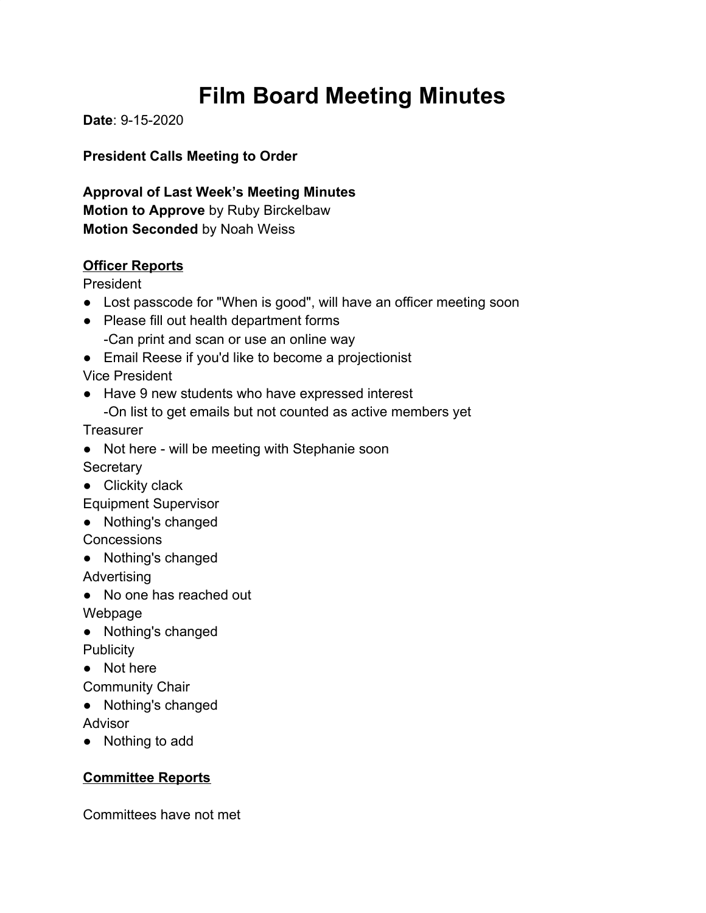# **Film Board Meeting Minutes**

**Date**: 9-15-2020

**President Calls Meeting to Order**

**Approval of Last Week's Meeting Minutes Motion to Approve** by Ruby Birckelbaw **Motion Seconded** by Noah Weiss

#### **Officer Reports**

President

- Lost passcode for "When is good", will have an officer meeting soon
- Please fill out health department forms -Can print and scan or use an online way
- Email Reese if you'd like to become a projectionist

Vice President

● Have 9 new students who have expressed interest -On list to get emails but not counted as active members yet

**Treasurer** 

- Not here will be meeting with Stephanie soon **Secretary**
- Clickity clack

Equipment Supervisor

● Nothing's changed

**Concessions** 

● Nothing's changed

Advertising

● No one has reached out

Webpage

● Nothing's changed **Publicity** 

● Not here

Community Chair

● Nothing's changed

Advisor

● Nothing to add

## **Committee Reports**

Committees have not met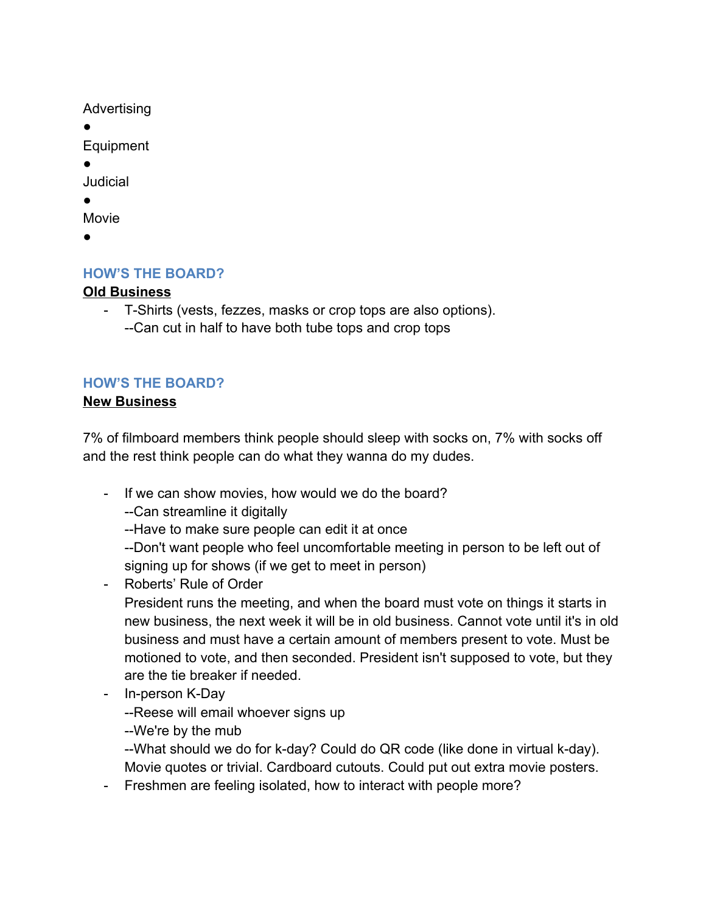Advertising

●

Equipment

●

Judicial

●

Movie

●

## **HOW'S THE BOARD?**

### **Old Business**

- T-Shirts (vests, fezzes, masks or crop tops are also options). --Can cut in half to have both tube tops and crop tops

## **HOW'S THE BOARD?**

### **New Business**

7% of filmboard members think people should sleep with socks on, 7% with socks off and the rest think people can do what they wanna do my dudes.

- If we can show movies, how would we do the board?
	- --Can streamline it digitally
	- --Have to make sure people can edit it at once
	- --Don't want people who feel uncomfortable meeting in person to be left out of signing up for shows (if we get to meet in person)
- Roberts' Rule of Order

President runs the meeting, and when the board must vote on things it starts in new business, the next week it will be in old business. Cannot vote until it's in old business and must have a certain amount of members present to vote. Must be motioned to vote, and then seconded. President isn't supposed to vote, but they are the tie breaker if needed.

- In-person K-Day

--Reese will email whoever signs up

--We're by the mub

--What should we do for k-day? Could do QR code (like done in virtual k-day). Movie quotes or trivial. Cardboard cutouts. Could put out extra movie posters.

- Freshmen are feeling isolated, how to interact with people more?